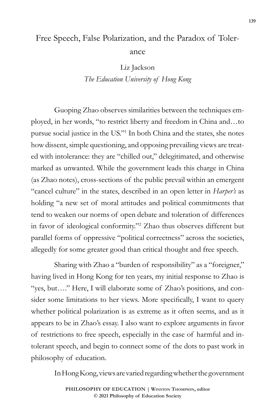## Free Speech, False Polarization, and the Paradox of Tolerance

Liz Jackson *The Education University of Hong Kong*

Guoping Zhao observes similarities between the techniques employed, in her words, "to restrict liberty and freedom in China and…to pursue social justice in the US."1 In both China and the states, she notes how dissent, simple questioning, and opposing prevailing views are treated with intolerance: they are "chilled out," delegitimated, and otherwise marked as unwanted. While the government leads this charge in China (as Zhao notes), cross-sections of the public prevail within an emergent "cancel culture" in the states, described in an open letter in *Harper's* as holding "a new set of moral attitudes and political commitments that tend to weaken our norms of open debate and toleration of differences in favor of ideological conformity."2 Zhao thus observes different but parallel forms of oppressive "political correctness" across the societies, allegedly for some greater good than critical thought and free speech.

Sharing with Zhao a "burden of responsibility" as a "foreigner," having lived in Hong Kong for ten years, my initial response to Zhao is "yes, but…." Here, I will elaborate some of Zhao's positions, and consider some limitations to her views. More specifically, I want to query whether political polarization is as extreme as it often seems, and as it appears to be in Zhao's essay. I also want to explore arguments in favor of restrictions to free speech, especially in the case of harmful and intolerant speech, and begin to connect some of the dots to past work in philosophy of education.

In Hong Kong, views are varied regarding whether the government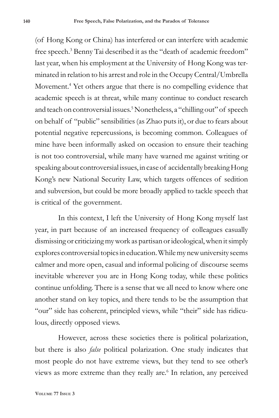(of Hong Kong or China) has interfered or can interfere with academic free speech.<sup>3</sup> Benny Tai described it as the "death of academic freedom" last year, when his employment at the University of Hong Kong was terminated in relation to his arrest and role in the Occupy Central/Umbrella Movement.<sup>4</sup> Yet others argue that there is no compelling evidence that academic speech is at threat, while many continue to conduct research and teach on controversial issues.<sup>5</sup> Nonetheless, a "chilling out" of speech on behalf of "public" sensibilities (as Zhao puts it), or due to fears about potential negative repercussions, is becoming common. Colleagues of mine have been informally asked on occasion to ensure their teaching is not too controversial, while many have warned me against writing or speaking about controversial issues, in case of accidentally breaking Hong Kong's new National Security Law, which targets offences of sedition and subversion, but could be more broadly applied to tackle speech that is critical of the government.

In this context, I left the University of Hong Kong myself last year, in part because of an increased frequency of colleagues casually dismissing or criticizing my work as partisan or ideological, when it simply explores controversial topics in education. While my new university seems calmer and more open, casual and informal policing of discourse seems inevitable wherever you are in Hong Kong today, while these politics continue unfolding. There is a sense that we all need to know where one another stand on key topics, and there tends to be the assumption that "our" side has coherent, principled views, while "their" side has ridiculous, directly opposed views.

However, across these societies there is political polarization, but there is also *false* political polarization. One study indicates that most people do not have extreme views, but they tend to see other's views as more extreme than they really are.<sup>6</sup> In relation, any perceived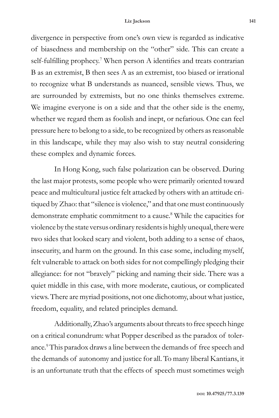divergence in perspective from one's own view is regarded as indicative of biasedness and membership on the "other" side. This can create a self-fulfilling prophecy.<sup>7</sup> When person A identifies and treats contrarian B as an extremist, B then sees A as an extremist, too biased or irrational to recognize what B understands as nuanced, sensible views. Thus, we are surrounded by extremists, but no one thinks themselves extreme. We imagine everyone is on a side and that the other side is the enemy, whether we regard them as foolish and inept, or nefarious. One can feel pressure here to belong to a side, to be recognized by others as reasonable in this landscape, while they may also wish to stay neutral considering these complex and dynamic forces.

In Hong Kong, such false polarization can be observed. During the last major protests, some people who were primarily oriented toward peace and multicultural justice felt attacked by others with an attitude critiqued by Zhao: that "silence is violence," and that one must continuously demonstrate emphatic commitment to a cause.<sup>8</sup> While the capacities for violence by the state versus ordinary residents is highly unequal, there were two sides that looked scary and violent, both adding to a sense of chaos, insecurity, and harm on the ground. In this case some, including myself, felt vulnerable to attack on both sides for not compellingly pledging their allegiance: for not "bravely" picking and naming their side. There was a quiet middle in this case, with more moderate, cautious, or complicated views. There are myriad positions, not one dichotomy, about what justice, freedom, equality, and related principles demand.

Additionally, Zhao's arguments about threats to free speech hinge on a critical conundrum: what Popper described as the paradox of tolerance.<sup>9</sup> This paradox draws a line between the demands of free speech and the demands of autonomy and justice for all. To many liberal Kantians, it is an unfortunate truth that the effects of speech must sometimes weigh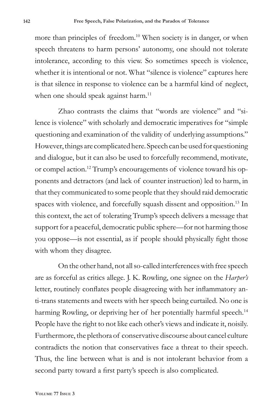more than principles of freedom.<sup>10</sup> When society is in danger, or when speech threatens to harm persons' autonomy, one should not tolerate intolerance, according to this view. So sometimes speech is violence, whether it is intentional or not. What "silence is violence" captures here is that silence in response to violence can be a harmful kind of neglect, when one should speak against harm.<sup>11</sup>

Zhao contrasts the claims that "words are violence" and "silence is violence" with scholarly and democratic imperatives for "simple questioning and examination of the validity of underlying assumptions." However, things are complicated here. Speech can be used for questioning and dialogue, but it can also be used to forcefully recommend, motivate, or compel action.12 Trump's encouragements of violence toward his opponents and detractors (and lack of counter instruction) led to harm, in that they communicated to some people that they should raid democratic spaces with violence, and forcefully squash dissent and opposition.<sup>13</sup> In this context, the act of tolerating Trump's speech delivers a message that support for a peaceful, democratic public sphere—for not harming those you oppose—is not essential, as if people should physically fight those with whom they disagree.

On the other hand, not all so-called interferences with free speech are as forceful as critics allege. J. K. Rowling, one signee on the *Harper's*  letter, routinely conflates people disagreeing with her inflammatory anti-trans statements and tweets with her speech being curtailed. No one is harming Rowling, or depriving her of her potentially harmful speech.<sup>14</sup> People have the right to not like each other's views and indicate it, noisily. Furthermore, the plethora of conservative discourse about cancel culture contradicts the notion that conservatives face a threat to their speech. Thus, the line between what is and is not intolerant behavior from a second party toward a first party's speech is also complicated.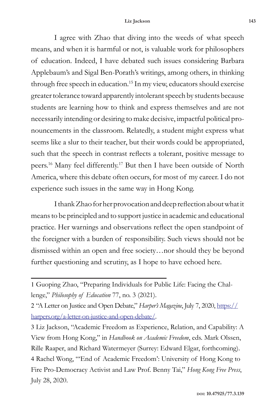I agree with Zhao that diving into the weeds of what speech means, and when it is harmful or not, is valuable work for philosophers of education. Indeed, I have debated such issues considering Barbara Applebaum's and Sigal Ben-Porath's writings, among others, in thinking through free speech in education.<sup>15</sup> In my view, educators should exercise greater tolerance toward apparently intolerant speech by students because students are learning how to think and express themselves and are not necessarily intending or desiring to make decisive, impactful political pronouncements in the classroom. Relatedly, a student might express what seems like a slur to their teacher, but their words could be appropriated, such that the speech in contrast reflects a tolerant, positive message to peers.16 Many feel differently.17 But then I have been outside of North America, where this debate often occurs, for most of my career. I do not experience such issues in the same way in Hong Kong.

I thank Zhao for her provocation and deep reflection about what it means to be principled and to support justice in academic and educational practice. Her warnings and observations reflect the open standpoint of the foreigner with a burden of responsibility. Such views should not be dismissed within an open and free society…nor should they be beyond further questioning and scrutiny, as I hope to have echoed here.

2 "A Letter on Justice and Open Debate," *Harper's Magazine*, July 7, 2020, https:// harpers.org/a-letter-on-justice-and-open-debate/.

3 Liz Jackson, "Academic Freedom as Experience, Relation, and Capability: A View from Hong Kong," in *Handbook on Academic Freedom*, eds. Mark Olssen, Rille Raaper, and Richard Watermeyer (Surrey: Edward Elgar, forthcoming). 4 Rachel Wong, "'End of Academic Freedom': University of Hong Kong to Fire Pro-Democracy Activist and Law Prof. Benny Tai," *Hong Kong Free Press*, July 28, 2020.

<sup>1</sup> Guoping Zhao, "Preparing Individuals for Public Life: Facing the Challenge," *Philosophy of Education* 77, no. 3 (2021).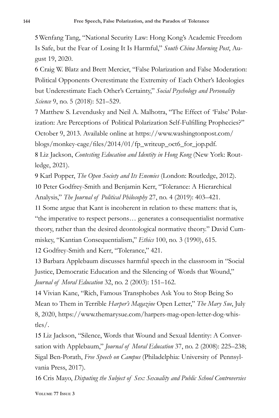5Wenfang Tang, "National Security Law: Hong Kong's Academic Freedom Is Safe, but the Fear of Losing It Is Harmful," *South China Morning Post*, August 19, 2020.

6 Craig W. Blatz and Brett Mercier, "False Polarization and False Moderation: Political Opponents Overestimate the Extremity of Each Other's Ideologies but Underestimate Each Other's Certainty," *Social Psychology and Personality Science* 9, no. 5 (2018): 521–529.

7 Matthew S. Levendusky and Neil A. Malhotra, "The Effect of 'False' Polarization: Are Perceptions of Political Polarization Self-Fulfilling Prophecies?" October 9, 2013. Available online at https://www.washingtonpost.com/ blogs/monkey-cage/files/2014/01/fp\_writeup\_oct6\_for\_jop.pdf. 8 Liz Jackson, *Contesting Education and Identity in Hong Kong* (New York: Rout-

ledge, 2021).

9 Karl Popper, *The Open Society and Its Enemies* (London: Routledge, 2012). 10 Peter Godfrey-Smith and Benjamin Kerr, "Tolerance: A Hierarchical Analysis," *The Journal of Political Philosophy* 27, no. 4 (2019): 403–421.

11 Some argue that Kant is incoherent in relation to these matters: that is, "the imperative to respect persons… generates a consequentialist normative theory, rather than the desired deontological normative theory." David Cummiskey, "Kantian Consequentialism," *Ethics* 100, no. 3 (1990), 615.

12 Godfrey-Smith and Kerr, "Tolerance," 421.

13 Barbara Applebaum discusses harmful speech in the classroom in "Social Justice, Democratic Education and the Silencing of Words that Wound," *Journal of Moral Education* 32, no. 2 (2003): 151–162.

14 Vivian Kane, "Rich, Famous Transphobes Ask You to Stop Being So Mean to Them in Terrible *Harper's Magazine* Open Letter," *The Mary Sue*, July 8, 2020, https://www.themarysue.com/harpers-mag-open-letter-dog-whistles/.

15 Liz Jackson, "Silence, Words that Wound and Sexual Identity: A Conversation with Applebaum," *Journal of Moral Education* 37, no. 2 (2008): 225–238; Sigal Ben-Porath, *Free Speech on Campus* (Philadelphia: University of Pennsylvania Press, 2017).

16 Cris Mayo, *Disputing the Subject of Sex: Sexuality and Public School Controversies*